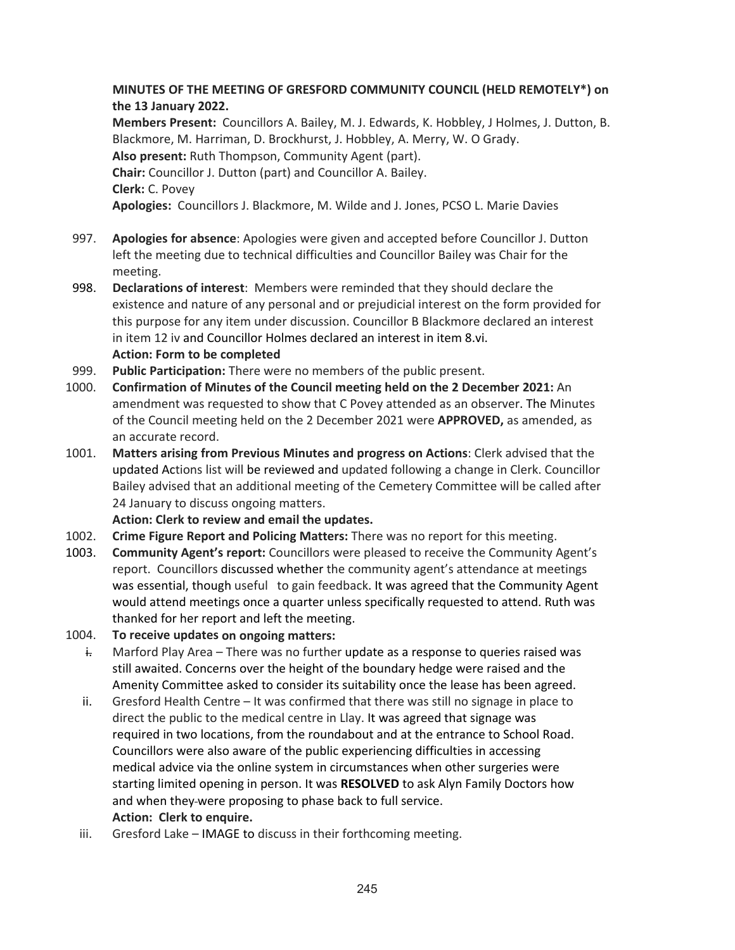## **MINUTES OF THE MEETING OF GRESFORD COMMUNITY COUNCIL (HELD REMOTELY\*) on the 13 January 2022.**

**Members Present:** Councillors A. Bailey, M. J. Edwards, K. Hobbley, J Holmes, J. Dutton, B. Blackmore, M. Harriman, D. Brockhurst, J. Hobbley, A. Merry, W. O Grady. **Also present:** Ruth Thompson, Community Agent (part). **Chair:** Councillor J. Dutton (part) and Councillor A. Bailey. **Clerk:** C. Povey **Apologies:** Councillors J. Blackmore, M. Wilde and J. Jones, PCSO L. Marie Davies

- 997. **Apologies for absence**: Apologies were given and accepted before Councillor J. Dutton left the meeting due to technical difficulties and Councillor Bailey was Chair for the meeting.
- 998. **Declarations of interest**: Members were reminded that they should declare the existence and nature of any personal and or prejudicial interest on the form provided for this purpose for any item under discussion. Councillor B Blackmore declared an interest in item 12 iv and Councillor Holmes declared an interest in item 8.vi. **Action: Form to be completed**
- 999. **Public Participation:** There were no members of the public present.
- 1000. **Confirmation of Minutes of the Council meeting held on the 2 December 2021:** An amendment was requested to show that C Povey attended as an observer. The Minutes of the Council meeting held on the 2 December 2021 were **APPROVED,** as amended, as an accurate record.
- 1001. **Matters arising from Previous Minutes and progress on Actions**: Clerk advised that the updated Actions list will be reviewed and updated following a change in Clerk. Councillor Bailey advised that an additional meeting of the Cemetery Committee will be called after 24 January to discuss ongoing matters.
	- **Action: Clerk to review and email the updates.**
- 1002. **Crime Figure Report and Policing Matters:** There was no report for this meeting.
- 1003. **Community Agent's report:** Councillors were pleased to receive the Community Agent's report. Councillors discussed whether the community agent's attendance at meetings was essential, though useful to gain feedback. It was agreed that the Community Agent would attend meetings once a quarter unless specifically requested to attend. Ruth was thanked for her report and left the meeting.
- 1004. **To receive updates on ongoing matters:**
	- $\frac{1}{2}$  Marford Play Area There was no further update as a response to queries raised was still awaited. Concerns over the height of the boundary hedge were raised and the Amenity Committee asked to consider its suitability once the lease has been agreed.
	- ii. Gresford Health Centre It was confirmed that there was still no signage in place to direct the public to the medical centre in Llay. It was agreed that signage was required in two locations, from the roundabout and at the entrance to School Road. Councillors were also aware of the public experiencing difficulties in accessing medical advice via the online system in circumstances when other surgeries were starting limited opening in person. It was **RESOLVED** to ask Alyn Family Doctors how and when they-were proposing to phase back to full service. **Action: Clerk to enquire.**
	- iii. Gresford Lake IMAGE to discuss in their forthcoming meeting.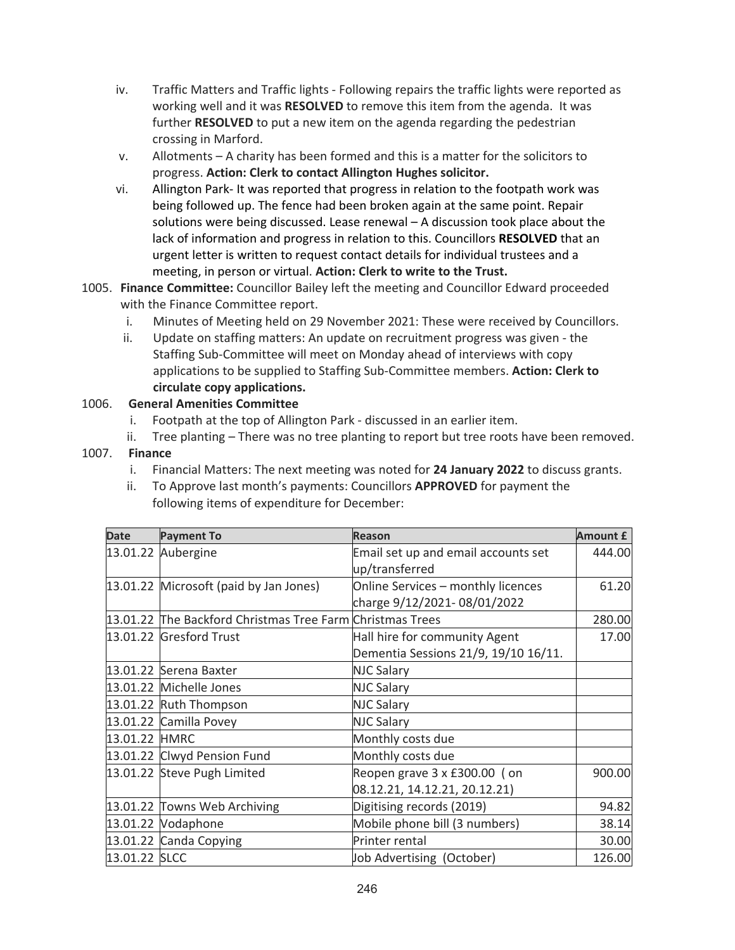- iv. Traffic Matters and Traffic lights ‐ Following repairs the traffic lights were reported as working well and it was **RESOLVED** to remove this item from the agenda. It was further **RESOLVED** to put a new item on the agenda regarding the pedestrian crossing in Marford.
- v. Allotments A charity has been formed and this is a matter for the solicitors to progress. **Action: Clerk to contact Allington Hughes solicitor.**
- vi. Allington Park‐ It was reported that progress in relation to the footpath work was being followed up. The fence had been broken again at the same point. Repair solutions were being discussed. Lease renewal – A discussion took place about the lack of information and progress in relation to this. Councillors **RESOLVED** that an urgent letter is written to request contact details for individual trustees and a meeting, in person or virtual. **Action: Clerk to write to the Trust.**
- 1005. **Finance Committee:** Councillor Bailey left the meeting and Councillor Edward proceeded with the Finance Committee report.
	- i. Minutes of Meeting held on 29 November 2021: These were received by Councillors.
	- ii. Update on staffing matters: An update on recruitment progress was given ‐ the Staffing Sub‐Committee will meet on Monday ahead of interviews with copy applications to be supplied to Staffing Sub‐Committee members. **Action: Clerk to circulate copy applications.**

## 1006. **General Amenities Committee**

- i. Footpath at the top of Allington Park ‐ discussed in an earlier item.
- ii. Tree planting There was no tree planting to report but tree roots have been removed.

## 1007. **Finance**

- i. Financial Matters: The next meeting was noted for **24 January 2022** to discuss grants.
- ii. To Approve last month's payments: Councillors **APPROVED** for payment the following items of expenditure for December:

| <b>Date</b>   | <b>Payment To</b>                                         | <b>Reason</b>                                                         | <b>Amount £</b> |
|---------------|-----------------------------------------------------------|-----------------------------------------------------------------------|-----------------|
|               | 13.01.22 Aubergine                                        | Email set up and email accounts set<br>up/transferred                 | 444.00          |
|               | 13.01.22 Microsoft (paid by Jan Jones)                    | Online Services - monthly licences<br>charge 9/12/2021-08/01/2022     | 61.20           |
|               | 13.01.22 The Backford Christmas Tree Farm Christmas Trees |                                                                       | 280.00          |
|               | 13.01.22 Gresford Trust                                   | Hall hire for community Agent<br>Dementia Sessions 21/9, 19/10 16/11. | 17.00           |
|               | 13.01.22 Serena Baxter                                    | <b>NJC Salary</b>                                                     |                 |
|               | 13.01.22 Michelle Jones                                   | <b>NJC Salary</b>                                                     |                 |
|               | 13.01.22 Ruth Thompson                                    | <b>NJC Salary</b>                                                     |                 |
|               | 13.01.22 Camilla Povey                                    | <b>NJC Salary</b>                                                     |                 |
| 13.01.22 HMRC |                                                           | Monthly costs due                                                     |                 |
|               | 13.01.22 Clwyd Pension Fund                               | Monthly costs due                                                     |                 |
|               | 13.01.22 Steve Pugh Limited                               | Reopen grave 3 x £300.00 (on<br>08.12.21, 14.12.21, 20.12.21)         | 900.00          |
|               | 13.01.22 Towns Web Archiving                              | Digitising records (2019)                                             | 94.82           |
|               | 13.01.22 Vodaphone                                        | Mobile phone bill (3 numbers)                                         | 38.14           |
|               | 13.01.22 Canda Copying                                    | Printer rental                                                        | 30.00           |
| 13.01.22 SLCC |                                                           | Job Advertising (October)                                             | 126.00          |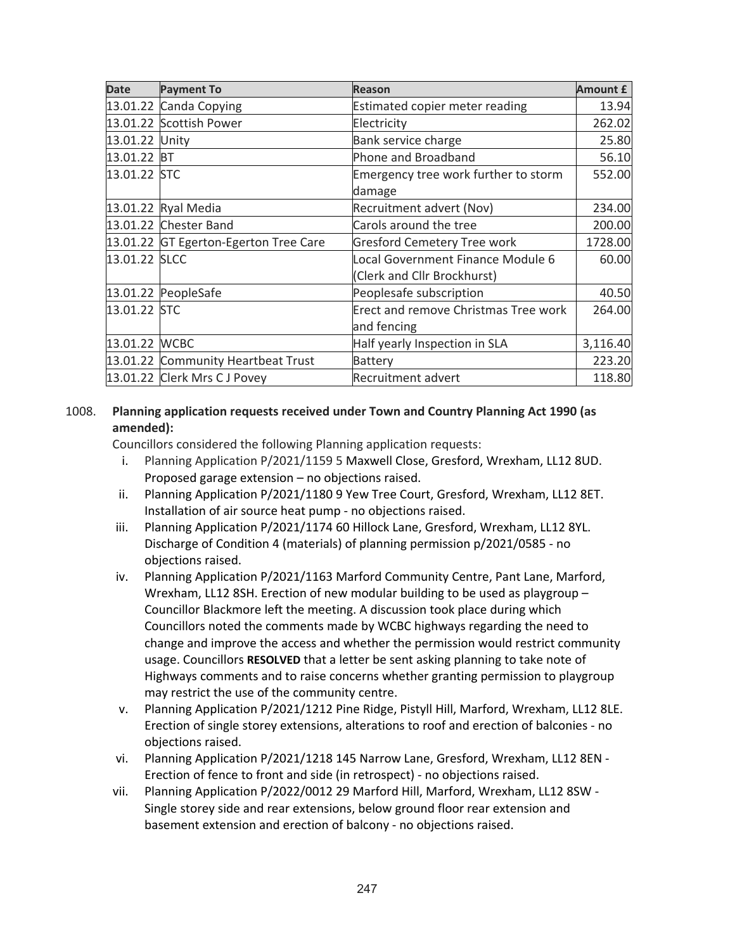| <b>Date</b>    | <b>Payment To</b>                     | <b>Reason</b>                        | <b>Amount £</b> |
|----------------|---------------------------------------|--------------------------------------|-----------------|
|                | 13.01.22 Canda Copying                | Estimated copier meter reading       | 13.94           |
|                | 13.01.22 Scottish Power               | Electricity                          | 262.02          |
| 13.01.22 Unity |                                       | Bank service charge                  | 25.80           |
| 13.01.22 BT    |                                       | Phone and Broadband                  | 56.10           |
| 13.01.22 STC   |                                       | Emergency tree work further to storm | 552.00          |
|                |                                       | damage                               |                 |
|                | 13.01.22 Ryal Media                   | Recruitment advert (Nov)             | 234.00          |
|                | 13.01.22 Chester Band                 | Carols around the tree               | 200.00          |
|                | 13.01.22 GT Egerton-Egerton Tree Care | <b>Gresford Cemetery Tree work</b>   | 1728.00         |
| 13.01.22 SLCC  |                                       | Local Government Finance Module 6    | 60.00           |
|                |                                       | (Clerk and Cllr Brockhurst)          |                 |
|                | 13.01.22 PeopleSafe                   | Peoplesafe subscription              | 40.50           |
| 13.01.22 STC   |                                       | Erect and remove Christmas Tree work | 264.00          |
|                |                                       | and fencing                          |                 |
| 13.01.22 WCBC  |                                       | Half yearly Inspection in SLA        | 3,116.40        |
|                | 13.01.22 Community Heartbeat Trust    | <b>Battery</b>                       | 223.20          |
|                | 13.01.22 Clerk Mrs CJ Povey           | <b>Recruitment advert</b>            | 118.80          |

## 1008. **Planning application requests received under Town and Country Planning Act 1990 (as amended):**

Councillors considered the following Planning application requests:

- i. Planning Application P/2021/1159 5 Maxwell Close, Gresford, Wrexham, LL12 8UD. Proposed garage extension – no objections raised.
- ii. Planning Application P/2021/1180 9 Yew Tree Court, Gresford, Wrexham, LL12 8ET. Installation of air source heat pump ‐ no objections raised.
- iii. Planning Application P/2021/1174 60 Hillock Lane, Gresford, Wrexham, LL12 8YL. Discharge of Condition 4 (materials) of planning permission p/2021/0585 ‐ no objections raised.
- iv. Planning Application P/2021/1163 Marford Community Centre, Pant Lane, Marford, Wrexham, LL12 8SH. Erection of new modular building to be used as playgroup – Councillor Blackmore left the meeting. A discussion took place during which Councillors noted the comments made by WCBC highways regarding the need to change and improve the access and whether the permission would restrict community usage. Councillors **RESOLVED** that a letter be sent asking planning to take note of Highways comments and to raise concerns whether granting permission to playgroup may restrict the use of the community centre.
- v. Planning Application P/2021/1212 Pine Ridge, Pistyll Hill, Marford, Wrexham, LL12 8LE. Erection of single storey extensions, alterations to roof and erection of balconies ‐ no objections raised.
- vi. Planning Application P/2021/1218 145 Narrow Lane, Gresford, Wrexham, LL12 8EN ‐ Erection of fence to front and side (in retrospect) ‐ no objections raised.
- vii. Planning Application P/2022/0012 29 Marford Hill, Marford, Wrexham, LL12 8SW ‐ Single storey side and rear extensions, below ground floor rear extension and basement extension and erection of balcony ‐ no objections raised.